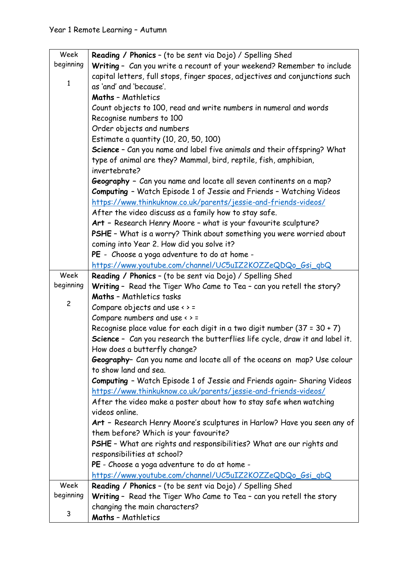| Week           | <b>Reading / Phonics - (to be sent via Dojo) / Spelling Shed</b>             |
|----------------|------------------------------------------------------------------------------|
| beginning      | Writing - Can you write a recount of your weekend? Remember to include       |
|                | capital letters, full stops, finger spaces, adjectives and conjunctions such |
| $\mathbf{1}$   | as 'and' and 'because'.                                                      |
|                | <b>Maths - Mathletics</b>                                                    |
|                | Count objects to 100, read and write numbers in numeral and words            |
|                | Recognise numbers to 100                                                     |
|                | Order objects and numbers                                                    |
|                | Estimate a quantity (10, 20, 50, 100)                                        |
|                | Science - Can you name and label five animals and their offspring? What      |
|                | type of animal are they? Mammal, bird, reptile, fish, amphibian,             |
|                | invertebrate?                                                                |
|                | Geography - Can you name and locate all seven continents on a map?           |
|                | Computing - Watch Episode 1 of Jessie and Friends - Watching Videos          |
|                | https://www.thinkuknow.co.uk/parents/jessie-and-friends-videos/              |
|                | After the video discuss as a family how to stay safe.                        |
|                | Art - Research Henry Moore - what is your favourite sculpture?               |
|                | PSHE - What is a worry? Think about something you were worried about         |
|                | coming into Year 2. How did you solve it?                                    |
|                | PE - Choose a yoga adventure to do at home -                                 |
|                | https://www.youtube.com/channel/UC5uIZ2KOZZeQDQo_Gsi_gbQ                     |
| Week           | <b>Reading / Phonics - (to be sent via Dojo) / Spelling Shed</b>             |
| beginning      | Writing - Read the Tiger Who Came to Tea - can you retell the story?         |
|                | <b>Maths - Mathletics tasks</b>                                              |
| $\overline{c}$ | Compare objects and use $\leftrightarrow$ =                                  |
|                | Compare numbers and use $\leftrightarrow$ =                                  |
|                | Recognise place value for each digit in a two digit number $(37 = 30 + 7)$   |
|                | Science - Can you research the butterflies life cycle, draw it and label it. |
|                | How does a butterfly change?                                                 |
|                | Geography- Can you name and locate all of the oceans on map? Use colour      |
|                | to show land and sea.                                                        |
|                | Computing - Watch Episode 1 of Jessie and Friends again- Sharing Videos      |
|                | https://www.thinkuknow.co.uk/parents/jessie-and-friends-videos/              |
|                | After the video make a poster about how to stay safe when watching           |
|                | videos online.                                                               |
|                | Art - Research Henry Moore's sculptures in Harlow? Have you seen any of      |
|                | them before? Which is your favourite?                                        |
|                | PSHE - What are rights and responsibilities? What are our rights and         |
|                | responsibilities at school?                                                  |
|                | PE - Choose a yoga adventure to do at home -                                 |
|                | https://www.youtube.com/channel/UC5uIZ2KOZZeQDQo_Gsi_gbQ                     |
| Week           | <b>Reading / Phonics - (to be sent via Dojo) / Spelling Shed</b>             |
| beginning      | Writing - Read the Tiger Who Came to Tea - can you retell the story          |
| 3              | changing the main characters?                                                |
|                | <b>Maths - Mathletics</b>                                                    |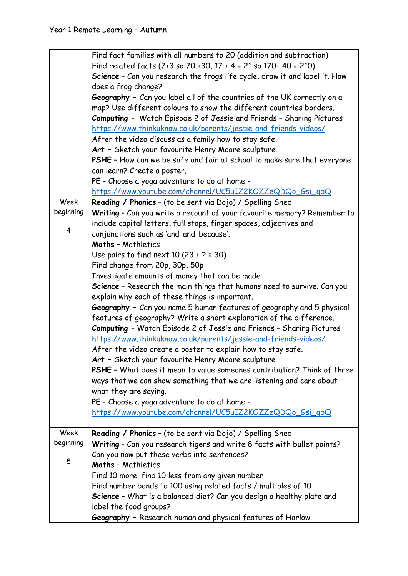|           | Find fact families with all numbers to 20 (addition and subtraction)       |
|-----------|----------------------------------------------------------------------------|
|           | Find related facts (7+3 so 70 +30, 17 + 4 = 21 so 170+ 40 = 210)           |
|           | Science - Can you research the frogs life cycle, draw it and label it. How |
|           | does a frog change?                                                        |
|           | Geography - Can you label all of the countries of the UK correctly on a    |
|           | map? Use different colours to show the different countries borders.        |
|           | Computing - Watch Episode 2 of Jessie and Friends - Sharing Pictures       |
|           | https://www.thinkuknow.co.uk/parents/jessie-and-friends-videos/            |
|           | After the video discuss as a family how to stay safe.                      |
|           | Art - Sketch your favourite Henry Moore sculpture.                         |
|           | PSHE - How can we be safe and fair at school to make sure that everyone    |
|           | can learn? Create a poster.                                                |
|           | PE - Choose a yoga adventure to do at home -                               |
|           | https://www.youtube.com/channel/UC5uIZ2KOZZeQDQo_Gsi_gbQ                   |
| Week      | Reading / Phonics - (to be sent via Dojo) / Spelling Shed                  |
| beginning | Writing - Can you write a recount of your favourite memory? Remember to    |
|           | include capital letters, full stops, finger spaces, adjectives and         |
| 4         | conjunctions such as 'and' and 'because'.                                  |
|           | <b>Maths - Mathletics</b>                                                  |
|           | Use pairs to find next $10(23 + 2 = 30)$                                   |
|           | Find change from 20p, 30p, 50p                                             |
|           | Investigate amounts of money that can be made                              |
|           | Science - Research the main things that humans need to survive. Can you    |
|           | explain why each of these things is important.                             |
|           | Geography - Can you name 5 human features of geography and 5 physical      |
|           | features of geography? Write a short explanation of the difference.        |
|           | Computing - Watch Episode 2 of Jessie and Friends - Sharing Pictures       |
|           | https://www.thinkuknow.co.uk/parents/jessie-and-friends-videos/            |
|           | After the video create a poster to explain how to stay safe.               |
|           | Art - Sketch your favourite Henry Moore sculpture.                         |
|           | PSHE - What does it mean to value someones contribution? Think of three    |
|           | ways that we can show something that we are listening and care about       |
|           | what they are saying.                                                      |
|           | PE - Choose a yoga adventure to do at home -                               |
|           | https://www.youtube.com/channel/UC5uIZ2KOZZeQDQo_Gsi_gbQ                   |
|           |                                                                            |
| Week      | <b>Reading / Phonics - (to be sent via Dojo) / Spelling Shed</b>           |
| beginning | Writing - Can you research tigers and write 8 facts with bullet points?    |
| 5         | Can you now put these verbs into sentences?                                |
|           | <b>Maths - Mathletics</b>                                                  |
|           | Find 10 more, find 10 less from any given number                           |
|           | Find number bonds to 100 using related facts / multiples of 10             |
|           | Science - What is a balanced diet? Can you design a healthy plate and      |
|           | label the food groups?                                                     |
|           | Geography - Research human and physical features of Harlow.                |